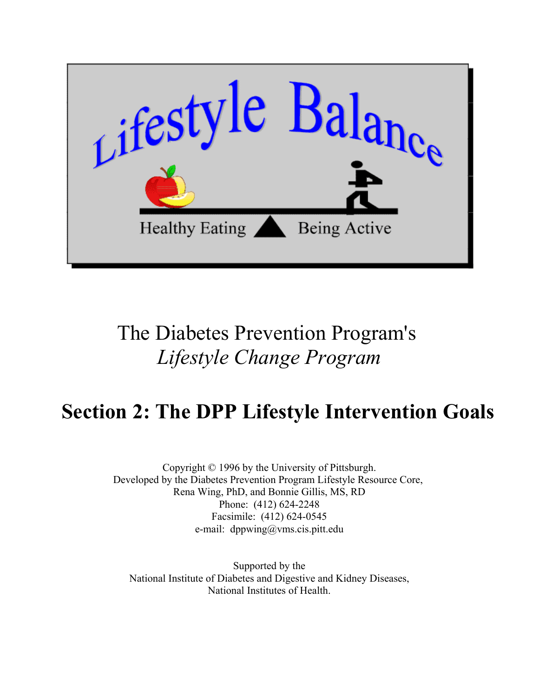

# The Diabetes Prevention Program's *Lifestyle Change Program*

# **Section 2: The DPP Lifestyle Intervention Goals**

Copyright © 1996 by the University of Pittsburgh. Developed by the Diabetes Prevention Program Lifestyle Resource Core, Rena Wing, PhD, and Bonnie Gillis, MS, RD Phone: (412) 624-2248 Facsimile: (412) 624-0545 e-mail: dppwing@vms.cis.pitt.edu

Supported by the [National Institute of Diabetes and Digestive and Kidney Diseases,](http://www.niddk.nih.gov) [National Institutes of Health.](http://www.nih.gov)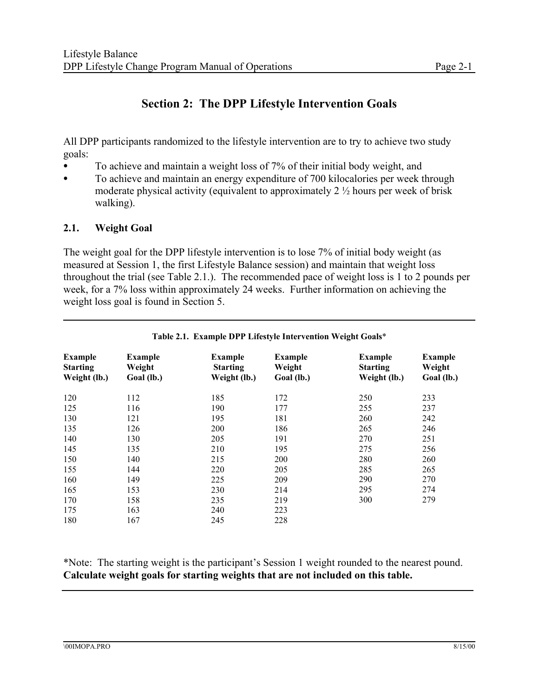# **Section 2: The DPP Lifestyle Intervention Goals**

All DPP participants randomized to the lifestyle intervention are to try to achieve two study goals:

- $\bullet$  To achieve and maintain a weight loss of 7% of their initial body weight, and
- To achieve and maintain an energy expenditure of 700 kilocalories per week through moderate physical activity (equivalent to approximately 2 ½ hours per week of brisk walking).

#### **2.1. Weight Goal**

The weight goal for the DPP lifestyle intervention is to lose 7% of initial body weight (as measured at Session 1, the first Lifestyle Balance session) and maintain that weight loss throughout the trial (see Table 2.1.). The recommended pace of weight loss is 1 to 2 pounds per week, for a 7% loss within approximately 24 weeks. Further information on achieving the weight loss goal is found in Section 5.

| <b>Example</b><br><b>Starting</b><br>Weight (lb.) | <b>Example</b><br>Weight<br>Goal (lb.) | <b>Example</b><br><b>Starting</b><br>Weight (lb.) | <b>Example</b><br>Weight<br>Goal (lb.) | <b>Example</b><br><b>Starting</b><br>Weight (lb.) | <b>Example</b><br>Weight<br>Goal (lb.) |
|---------------------------------------------------|----------------------------------------|---------------------------------------------------|----------------------------------------|---------------------------------------------------|----------------------------------------|
| 120                                               | 112                                    | 185                                               | 172                                    | 250                                               | 233                                    |
| 125                                               | 116                                    | 190                                               | 177                                    | 255                                               | 237                                    |
| 130                                               | 121                                    | 195                                               | 181                                    | 260                                               | 242                                    |
| 135                                               | 126                                    | 200                                               | 186                                    | 265                                               | 246                                    |
| 140                                               | 130                                    | 205                                               | 191                                    | 270                                               | 251                                    |
| 145                                               | 135                                    | 210                                               | 195                                    | 275                                               | 256                                    |
| 150                                               | 140                                    | 215                                               | 200                                    | 280                                               | 260                                    |
| 155                                               | 144                                    | 220                                               | 205                                    | 285                                               | 265                                    |
| 160                                               | 149                                    | 225                                               | 209                                    | 290                                               | 270                                    |
| 165                                               | 153                                    | 230                                               | 214                                    | 295                                               | 274                                    |
| 170                                               | 158                                    | 235                                               | 219                                    | 300                                               | 279                                    |
| 175                                               | 163                                    | 240                                               | 223                                    |                                                   |                                        |
| 180                                               | 167                                    | 245                                               | 228                                    |                                                   |                                        |

#### **Table 2.1. Example DPP Lifestyle Intervention Weight Goals**\*

\*Note: The starting weight is the participant's Session 1 weight rounded to the nearest pound. **Calculate weight goals for starting weights that are not included on this table.**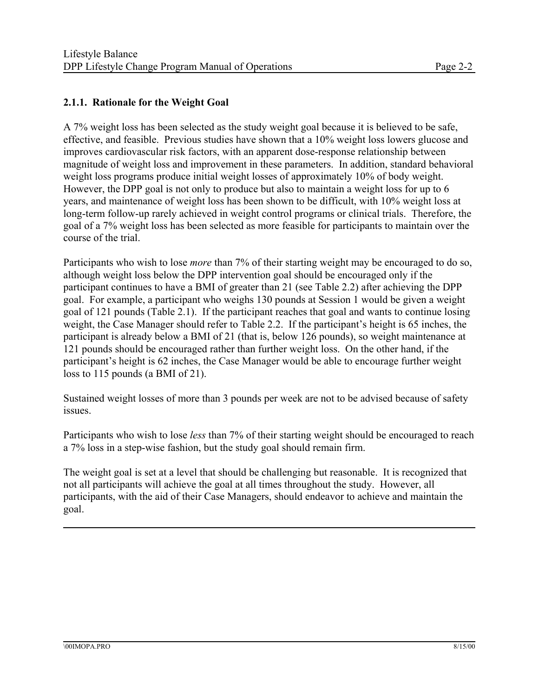## **2.1.1. Rationale for the Weight Goal**

A 7% weight loss has been selected as the study weight goal because it is believed to be safe, effective, and feasible. Previous studies have shown that a 10% weight loss lowers glucose and improves cardiovascular risk factors, with an apparent dose-response relationship between magnitude of weight loss and improvement in these parameters. In addition, standard behavioral weight loss programs produce initial weight losses of approximately 10% of body weight. However, the DPP goal is not only to produce but also to maintain a weight loss for up to 6 years, and maintenance of weight loss has been shown to be difficult, with 10% weight loss at long-term follow-up rarely achieved in weight control programs or clinical trials. Therefore, the goal of a 7% weight loss has been selected as more feasible for participants to maintain over the course of the trial.

Participants who wish to lose *more* than 7% of their starting weight may be encouraged to do so, although weight loss below the DPP intervention goal should be encouraged only if the participant continues to have a BMI of greater than 21 (see Table 2.2) after achieving the DPP goal. For example, a participant who weighs 130 pounds at Session 1 would be given a weight goal of 121 pounds (Table 2.1). If the participant reaches that goal and wants to continue losing weight, the Case Manager should refer to Table 2.2. If the participant's height is 65 inches, the participant is already below a BMI of 21 (that is, below 126 pounds), so weight maintenance at 121 pounds should be encouraged rather than further weight loss. On the other hand, if the participant's height is 62 inches, the Case Manager would be able to encourage further weight loss to 115 pounds (a BMI of 21).

Sustained weight losses of more than 3 pounds per week are not to be advised because of safety issues.

Participants who wish to lose *less* than 7% of their starting weight should be encouraged to reach a 7% loss in a step-wise fashion, but the study goal should remain firm.

The weight goal is set at a level that should be challenging but reasonable. It is recognized that not all participants will achieve the goal at all times throughout the study. However, all participants, with the aid of their Case Managers, should endeavor to achieve and maintain the goal.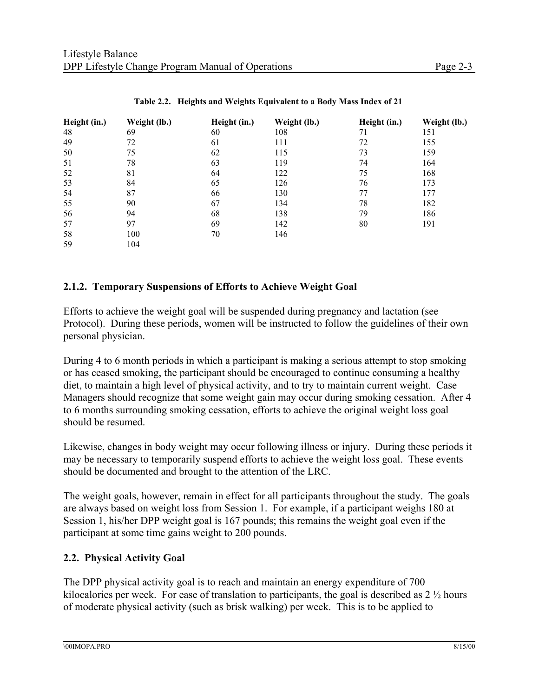| Height (in.) | Weight (lb.) | Height (in.) | Weight (lb.) | Height (in.) | Weight (lb.) |
|--------------|--------------|--------------|--------------|--------------|--------------|
| 48           | 69           | 60           | 108          | 71           | 151          |
| 49           | 72           | 61           | 111          | 72           | 155          |
| 50           | 75           | 62           | 115          | 73           | 159          |
| 51           | 78           | 63           | 119          | 74           | 164          |
| 52           | 81           | 64           | 122          | 75           | 168          |
| 53           | 84           | 65           | 126          | 76           | 173          |
| 54           | 87           | 66           | 130          | 77           | 177          |
| 55           | 90           | 67           | 134          | 78           | 182          |
| 56           | 94           | 68           | 138          | 79           | 186          |
| 57           | 97           | 69           | 142          | 80           | 191          |
| 58           | 100          | 70           | 146          |              |              |
| 59           | 104          |              |              |              |              |

**Table 2.2. Heights and Weights Equivalent to a Body Mass Index of 21** 

### **2.1.2. Temporary Suspensions of Efforts to Achieve Weight Goal**

Efforts to achieve the weight goal will be suspended during pregnancy and lactation (see Protocol). During these periods, women will be instructed to follow the guidelines of their own personal physician.

During 4 to 6 month periods in which a participant is making a serious attempt to stop smoking or has ceased smoking, the participant should be encouraged to continue consuming a healthy diet, to maintain a high level of physical activity, and to try to maintain current weight. Case Managers should recognize that some weight gain may occur during smoking cessation. After 4 to 6 months surrounding smoking cessation, efforts to achieve the original weight loss goal should be resumed.

Likewise, changes in body weight may occur following illness or injury. During these periods it may be necessary to temporarily suspend efforts to achieve the weight loss goal. These events should be documented and brought to the attention of the LRC.

The weight goals, however, remain in effect for all participants throughout the study. The goals are always based on weight loss from Session 1. For example, if a participant weighs 180 at Session 1, his/her DPP weight goal is 167 pounds; this remains the weight goal even if the participant at some time gains weight to 200 pounds.

#### **2.2. Physical Activity Goal**

The DPP physical activity goal is to reach and maintain an energy expenditure of 700 kilocalories per week. For ease of translation to participants, the goal is described as 2 ½ hours of moderate physical activity (such as brisk walking) per week. This is to be applied to